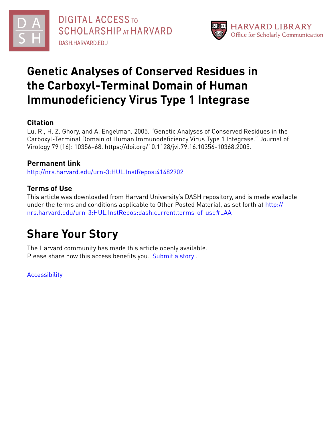



# **Genetic Analyses of Conserved Residues in the Carboxyl-Terminal Domain of Human Immunodeficiency Virus Type 1 Integrase**

## **Citation**

Lu, R., H. Z. Ghory, and A. Engelman. 2005. "Genetic Analyses of Conserved Residues in the Carboxyl-Terminal Domain of Human Immunodeficiency Virus Type 1 Integrase." Journal of Virology 79 (16): 10356–68. https://doi.org/10.1128/jvi.79.16.10356-10368.2005.

## **Permanent link**

<http://nrs.harvard.edu/urn-3:HUL.InstRepos:41482902>

# **Terms of Use**

This article was downloaded from Harvard University's DASH repository, and is made available under the terms and conditions applicable to Other Posted Material, as set forth at [http://](http://nrs.harvard.edu/urn-3:HUL.InstRepos:dash.current.terms-of-use#LAA) [nrs.harvard.edu/urn-3:HUL.InstRepos:dash.current.terms-of-use#LAA](http://nrs.harvard.edu/urn-3:HUL.InstRepos:dash.current.terms-of-use#LAA)

# **Share Your Story**

The Harvard community has made this article openly available. Please share how this access benefits you. [Submit](http://osc.hul.harvard.edu/dash/open-access-feedback?handle=&title=Genetic%20Analyses%20of%20Conserved%20Residues%20in%20the%20Carboxyl-Terminal%20Domain%20of%20Human%20Immunodeficiency%20Virus%20Type%201%20Integrase&community=1/4454685&collection=1/4454686&owningCollection1/4454686&harvardAuthors=316c757480f47e767eef08a504a8e329&department) a story.

**[Accessibility](https://dash.harvard.edu/pages/accessibility)**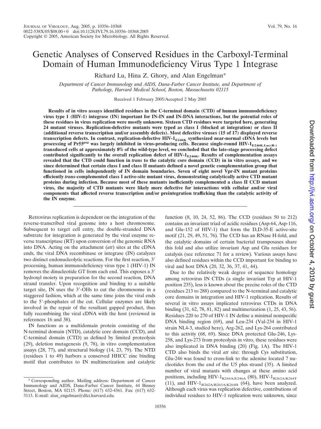## Genetic Analyses of Conserved Residues in the Carboxyl-Terminal Domain of Human Immunodeficiency Virus Type 1 Integrase

Richard Lu, Hina Z. Ghory, and Alan Engelman\*

*Department of Cancer Immunology and AIDS, Dana-Farber Cancer Institute, and Department of Pathology, Harvard Medical School, Boston, Massachusetts 02115*

Received 1 February 2005/Accepted 2 May 2005

**Results of in vitro assays identified residues in the C-terminal domain (CTD) of human immunodeficiency virus type 1 (HIV-1) integrase (IN) important for IN-IN and IN-DNA interactions, but the potential roles of these residues in virus replication were mostly unknown. Sixteen CTD residues were targeted here, generating 24 mutant viruses. Replication-defective mutants were typed as class I (blocked at integration) or class II (additional reverse transcription and/or assembly defects). Most defective viruses (15 of 17) displayed reverse transcription defects. In contrast, replication-defective HIV-1<sub>E246K</sub> synthesized near-normal cDNA levels but** processing of Pr55<sup>gag</sup> was largely inhibited in virus-producing cells. Because single-round HIV-1<sub>E246K.Luc(R-)</sub> **transduced cells at approximately 8% of the wild-type level, we concluded that the late-stage processing defect** contributed significantly to the overall replication defect of HIV-1<sub>E246K</sub>. Results of complementation assays **revealed that the CTD could function in** *trans* **to the catalytic core domain (CCD) in in vitro assays, and we since determined that certain class I and class II mutants defined a novel genetic complementation group that functioned in cells independently of IN domain boundaries. Seven of eight novel Vpr-IN mutant proteins efficiently** *trans***-complemented class I active-site mutant virus, demonstrating catalytically active CTD mutant proteins during infection. Because most of these mutants inefficiently complemented a class II CCD mutant virus, the majority of CTD mutants were likely more defective for interactions with cellular and/or viral components that affected reverse transcription and/or preintegration trafficking than the catalytic activity of the IN enzyme.**

Retrovirus replication is dependent on the integration of the reverse-transcribed viral genome into a host chromosome. Subsequent to target cell entry, the double-stranded DNA substrate for integration is generated by the viral enzyme reverse transcriptase (RT) upon conversion of the genomic RNA into DNA. Acting on the attachment (*att*) sites at the cDNA ends, the viral DNA recombinase or integrase (IN) catalyzes two distinct endonucleolytic reactions. For the first reaction, 3' processing, human immunodeficiency virus type 1 (HIV-1) IN removes the dinucleotide GT from each end. This exposes a 3' hydroxyl moiety in preparation for the second reaction, DNA strand transfer. Upon recognition and binding to a suitable target site, IN uses the 3'-OHs to cut the chromosome in a staggered fashion, which at the same time joins the viral ends to the 5'-phosphates of the cut. Cellular enzymes are likely involved in the repair of the resultant gapped product, thus fully recombining the viral cDNA with the host (reviewed in references 16 and 38).

IN functions as a multidomain protein consisting of the N-terminal domain (NTD), catalytic core domain (CCD), and C-terminal domain (CTD) as defined by limited proteolysis (29), deletion mutagenesis (9, 78), in vitro complementation assays (28, 77), and structural biology (14, 23, 79). The NTD (residues 1 to 49) harbors a conserved HHCC zinc binding motif that contributes to IN multimerization and catalytic function (8, 10, 24, 52, 86). The CCD (residues 50 to 212) contains an invariant triad of acidic residues (Asp-64, Asp-116, and Glu-152 of HIV-1) that form the D,D-35-E active-site motif (21, 29, 49, 51, 76). The CCD has an RNase H-fold, and the catalytic domains of certain bacterial transposases share this fold and also utilize invariant Asp and Glu residues for catalysis (see reference 71 for a review). Various assays have also defined residues within the CCD important for binding to viral and host DNA (20, 32, 36, 37, 41, 44).

Due to the relatively weak degree of sequence homology among retrovirus IN CTDs (a single invariant Trp at HIV-1 position 235), less is known about the precise roles of the CTD (residues 213 to 288) compared to the N-terminal and catalytic core domains in integration and HIV-1 replication. Results of several in vitro assays implicated retrovirus CTDs in DNA binding (31, 62, 78, 81, 82) and multimerization (1, 25, 43, 56). Residues 220 to 270 of HIV-1 IN define a minimal nonspecific DNA binding region (69), and Leu-234 (Val-234 in HIV-1 strain NL4-3, studied here), Arg-262, and Lys-264 contributed to this activity (68, 69). Since DNA protected Glu-246, Lys-258, and Lys-273 from proteolysis in vitro, these residues were also implicated in DNA binding (20) (Fig. 1A). The HIV-1 CTD also binds the viral *att* site: through Cys substitution, Glu-246 was found to cross-link to the adenine located 7 nucleotides from the end of the U5 plus strand (35). A limited number of viral mutants with changes at these amino acid positions, including HIV- $1_{K244A/E246A}$  (80), HIV- $1_{R262A/K264T}$ (11), and HIV- $1_{R262A/R263A/K264H}$  (64), have been analyzed. Although each virus was replication defective, contributions of individual residues to HIV-1 replication were unknown, since

<sup>\*</sup> Corresponding author. Mailing address: Department of Cancer Immunology and AIDS, Dana-Farber Cancer Institute, 44 Binney Street, Boston, MA 02115. Phone: (617) 632-4361. Fax: (617) 632- 3113. E-mail: alan\_engelman@dfci.harvard.edu.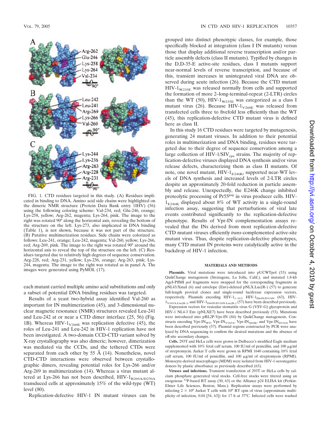

FIG. 1. CTD residues targeted in this study. (A) Residues implicated in binding to DNA. Amino acid side chains were highlighted on the dimeric NMR structure (Protein Data Bank entry 1IHV) (56) using the following coloring scheme: Val-234, red; Glu-246, orange; Lys-258, yellow; Arg-262, magenta; Lys-264, pink. The image to the right was rotated 90° along the horizontal axis, revealing the bottom of the structure on the left. Lys-273, also implicated in DNA binding (Table 1), is not shown, because it was not part of the structure. (B) Putative multimerization residues. Side chains were colorized as follows: Leu-241, orange; Leu-242, magenta; Val-260, yellow; Lys-266, red; Arg-269, pink. The image to the right was rotated 90° around the horizontal axis to reveal the top of the structure on the left. (C) Residues targeted due to relatively high degrees of sequence conservation. Arg-228, red; Arg-231, yellow; Lys-236, orange; Arg-263, pink; Lys-244, magenta. The image to the right was rotated as in panel A. The images were generated using PyMOL (17).

each mutant carried multiple amino acid substitutions and only a subset of potential DNA binding residues was targeted.

Results of a yeast two-hybrid assay identified Val-260 as important for IN multimerization (45), and 3-dimensional nuclear magnetic resonance (NMR) structures revealed Leu-241 and Leu-242 at or near a CTD dimer interface (25, 56) (Fig. 1B). Whereas HIV- $1_{\text{V260E}}$  was replication defective (45), the roles of Leu-241 and Leu-242 in HIV-1 replication have not been investigated. A two-domain CCD-CTD variant solved by X-ray crystallography was also dimeric; however, dimerization was mediated via the CCDs, and the tethered CTDs were separated from each other by 55  $\AA$  (14). Nonetheless, novel CTD-CTD interactions were observed between crystallographic dimers, revealing potential roles for Lys-266 and/or Arg-269 in multimerization (14). Whereas a virus mutant altered at Lys-266 has not been described,  $HIV-1_{R269A/D270A}$ transduced cells at approximately 15% of the wild-type (WT) level (80).

Replication-defective HIV-1 IN mutant viruses can be

grouped into distinct phenotypic classes, for example, those specifically blocked at integration (class I IN mutants) versus those that display additional reverse transcription and/or particle assembly defects (class II mutants). Typified by changes in the D,D-35-E active-site residues, class I mutants support near-normal levels of reverse transcription, and because of this, transient increases in unintegrated viral DNA are observed during acute infection (26). Because the CTD mutant  $HIV-1<sub>W235E</sub>$  was released normally from cells and supported the formation of more 2–long-terminal-repeat (2-LTR) circles than the WT (50), HIV- $1_{\text{W235E}}$  was categorized as a class I mutant virus (26). Because  $HIV-1<sub>V260E</sub>$  was released from transfected cells three to fivefold less efficiently than the WT (45), this replication-defective CTD mutant virus is defined here as class II.

In this study 16 CTD residues were targeted by mutagenesis, generating 24 mutant viruses. In addition to their potential roles in multimerization and DNA binding, residues were targeted due to their degree of sequence conservation among a large collection of HIV-1/SIV $_{\rm cpz}$  strains. The majority of replication-defective viruses displayed DNA synthesis and/or virus release defects, characterizing them as class II mutants. Of note, one novel mutant,  $HIV-1_{E246K}$ , supported near-WT levels of DNA synthesis and increased levels of 2-LTR circles despite an approximately 20-fold reduction in particle assembly and release. Unexpectedly, the E246K change inhibited proteolytic processing of Pr55*gag* in virus producer cells. HIV- $1_{E246K}$  displayed about 8% of WT activity in a single-round infection assay, suggesting that perturbations of viral late events contributed significantly to the replication-defective phenotype. Results of Vpr-IN complementation assays revealed that the INs derived from most replication-defective CTD mutant viruses efficiently *trans*-complemented active-site mutant virus. Thus, despite replication-defective phenotypes, many CTD mutant IN proteins were catalytically active in the backdrop of HIV-1 infection.

#### **MATERIALS AND METHODS**

**Plasmids.** Viral mutations were introduced into pUCWTpol (53) using QuikChange mutagenesis (Stratagene, La Jolla, Calif.), and mutated 1.8-kb AgeI-PflMI *pol* fragments were swapped for the corresponding fragments in pNL43/XmaI (6) and envelope (Env)-deleted pNLX.Luc(R-) (57) to generate full-length proviral clones and single-round luciferase expression vectors, respectively. Plasmids encoding  $HIV-1_{1-212}$ ,  $HIV-1_{D64N/D116N}$  (63),  $HIV 1_{\text{V165A.Luc(R.)}}$ , and HIV- $1_{\text{D64N/D116N.Luc(R.)}}$  (57) have been described previously.

Expression vectors for vesicular stomatitis virus G (VSV-G) glycoprotein and HIV-1 NL4-3 Env (pNLXE7) have been described previously (53). Mutations were introduced into pRL2P-Vpr-IN (84) by QuikChange mutagenesis. Constructs encoding Vpr-IN<sub>WT</sub>, Vpr-IN<sub>V165A</sub>, Vpr-IN<sub>O62K</sub>, and Vpr-IN<sub>D116A</sub> have been described previously (57). Plasmid regions constructed by PCR were analyzed by DNA sequencing to confirm the desired mutations and the absence of off-site secondary changes.

**Cells.** 293T and HeLa cells were grown in Dulbecco's modified Eagle medium supplemented with 10% fetal calf serum, 100 IU/ml of penicillin, and 100  $\mu$ g/ml of streptomycin. Jurkat T cells were grown in RPMI 1640 containing 10% fetal calf serum, 100 IU/ml of penicillin, and 100  $\mu$ g/ml of streptomycin (RPMI). Monocyte-derived macrophages (MDM) were isolated from HIV-1-seronegative donors by plastic absorbance as previously described (63).

**Viruses and infections.** Transient transfection of 293T or HeLa cells by calcium phosphate generated viral stocks. Cell-free stocks were titered using an exogenous 32P-based RT assay (30, 63) or the Alliance p24 ELISA kit (Perkin-Elmer Life Sciences, Boston, Mass.). Replication assays were performed by infecting  $2 \times 10^6$  Jurkat T cells with  $10^6$  RT cpm of virus (approximate multiplicity of infection, 0.04 [54, 63]) for 17 h at 37°C. Infected cells were washed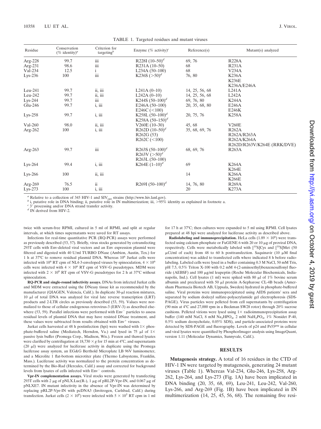| Residue    | Conservation<br>$(\%$ identity) <sup>a</sup> | Criterion for<br>targeting $b$ | Enzyme (% activity) <sup>c</sup> | Reference(s)   | Mutant(s) analyzed          |
|------------|----------------------------------------------|--------------------------------|----------------------------------|----------------|-----------------------------|
| Arg-228    | 99.7                                         | iii                            | R228I $(10-50)^d$                | 69, 76         | <b>R228A</b>                |
| $Arg-231$  | 98.6                                         | iii                            | R <sub>231</sub> A (10-50)       | 68             | <b>R231A</b>                |
| Val-234    | 12.5                                         | $\mathbf{i}$                   | L234A $(50-100)$                 | 68             | V234A                       |
| $Lys-236$  | 100                                          | iii                            | K236S $(>50)^d$                  | 76, 80         | <b>K236A</b>                |
|            |                                              |                                |                                  |                | <b>K236E</b>                |
|            |                                              |                                |                                  |                | K236A/E246A                 |
| $Leu-241$  | 99.7                                         | ii, iii                        | L241A $(0-10)$                   | 14, 25, 56, 68 | L241A                       |
| $Leu-242$  | 99.7                                         | ii, iii                        | L242A $(0-10)$                   | 14, 25, 56, 68 | L242A                       |
| $Lys-244$  | 99.7                                         | iii                            | K244S $(50-100)^d$               | 69, 76, 80     | <b>K244A</b>                |
| Glu-246    | 99.7                                         | i, iii                         | E246A $(50-100)$                 | 20, 35, 68, 80 | E246A                       |
|            |                                              |                                | E246C $(<100$ )                  |                | E246K                       |
| $Lys-258$  | 99.7                                         | i, iii                         | K258L $(50-100)^d$               | 20, 75, 76     | <b>K258A</b>                |
|            |                                              |                                | K258A $(50-150)^d$               |                |                             |
| Val-260    | 98.0                                         | ii, iii                        | $V260E(10-30)$                   | 45, 68         | <b>V260E</b>                |
| Arg-262    | 100                                          | i, iii                         | R262D $(10-50)^d$                | 35, 68, 69, 76 | R262A                       |
|            |                                              |                                | R <sub>262</sub> G (53)          |                | R262A/R263A                 |
|            |                                              |                                | R262C (< 100)                    |                | R262A/K264A                 |
|            |                                              |                                |                                  |                | R262D/R263V/K264E (RRK/DVE) |
| Arg-263    | 99.7                                         | iii                            | R263S $(50-100)^d$               | 68, 69, 76     | <b>R263A</b>                |
|            |                                              |                                | R263V $(>50)^d$                  |                |                             |
|            |                                              |                                | R263L (50-100)                   |                |                             |
| $Lys-264$  | 99.4                                         | i, iii                         | K264E $(1-10)^d$                 | 69             | <b>K264A</b>                |
|            |                                              |                                |                                  |                | <b>K264E</b>                |
| $Lys-266$  | 100                                          | ii, iii                        |                                  | 14             | <b>K266A</b>                |
|            |                                              |                                |                                  |                | <b>K266E</b>                |
| Arg- $269$ | 76.5                                         | ii                             | R269I $(50-100)^d$               | 14, 76, 80     | <b>R269A</b>                |
| $Lys-273$  | 100                                          | i, iii                         |                                  | 20             | <b>K273A</b>                |

<sup>*a*</sup> Relative to a collection of 345 HIV-1 and SIV<sub>cpz</sub> strains (http://www.hiv.lanl.gov).<br>
<sup>*b*</sup> i, putative role in DNA binding; ii, putative role in IN multimerization; iii, >95% identity as explained in footnote a.<br>

 $\degree$  3' processing and/or DNA strand transfer activity.

twice with serum-free RPMI, cultured in 5 ml of RPMI, and split at regular intervals, at which times supernatants were saved for RT assays.

Infections for real-time quantitative PCR (RQ-PCR) assays were performed as previously described (53, 57). Briefly, virus stocks generated by cotransfecting 293T cells with Env-deleted viral vectors and an Env expression plasmid were filtered and digested with 40 U/ml TURBO DNase (Ambion, Austin, Tex.) for 1 h at 37°C to remove residual plasmid DNA. Whereas 10<sup>6</sup> Jurkat cells were infected with 10<sup>6</sup> RT cpm of NL4-3-enveloped viruses by spinoculation,  $4 \times 10^6$ cells were infected with  $4 \times 10^6$  RT cpm of VSV-G pseudotypes. MDM were infected with  $2 \times 10^6$  RT cpm of VSV-G pseudotypes for 2 h at 37°C without spinoculation.

**RQ-PCR and single-round infectivity assays.** DNAs from infected Jurkat cells and MDM were extracted using the DNeasy tissue kit as recommended by the manufacturer (OIAGEN, Valencia, Calif.). In duplicate 30-µl reaction mixtures,  $10 \mu l$  of total DNA was analyzed for viral late reverse transcription (LRT) products and 2-LTR circles as previously described (53, 59). Values were normalized to those of cellular endogenous retrovirus-3 (ERV-3) as described elsewhere  $(53, 59)$ . Parallel infections were performed with  $Env^-$  particles to assess residual levels of plasmid DNA that may have resisted DNase treatment, and these values were subtracted from results obtained with Env<sup>+</sup> viruses.

Jurkat cells harvested at 48 h postinfection (hpi) were washed with  $1\times$  phosphate-buffered saline (Mediatech, Herndon, Va.) and lysed in 75  $\mu$ l of 1× passive lysis buffer (Promega Corp., Madison, Wis.). Frozen and thawed lysates were clarified by centrifugation at  $18,730 \times g$  for 15 min at 4°C, and supernatants  $(20 \text{ µ})$  were analyzed for luciferase activity in duplicate using the Promega luciferase assay system, an EG&G Berthold Microplate LB 96V luminometer, and a Microlite 1 flat-bottom microtiter plate (Thermo Labsystems, Franklin, Mass.). Luciferase activity was normalized to the protein concentration as determined by the Bio-Rad (Hercules, Calif.) assay and corrected for background levels from lysates of cells infected with Env<sup>-</sup> controls.

**Vpr-IN complementation assays.** Viral stocks were generated by transfecting 293T cells with 2  $\mu$ g of pNLX.Luc(R-), 1  $\mu$ g of pRL2P-Vpr-IN, and 0.067  $\mu$ g of pNLXE7. IN mutant infectivity in the absence of Vpr-IN was determined by replacing pRL2P-Vpr-IN with pcDNA3 (Invitrogen, Carlsbad, Calif.) during transfection. Jurkat cells  $(2 \times 10^6)$  were infected with  $5 \times 10^5$  RT cpm in 1 ml for 17 h at 37°C; then cultures were expanded to 5 ml using RPMI. Cell lysates prepared at 48 hpi were analyzed for luciferase activity as described above.

**Radiolabeling and immunoprecipitation.** HeLa cells  $(1.89 \times 10^6)$  were transfected using calcium phosphate or FuGENE 6 with 20 or 10  $\mu$ g of proviral DNA, respectively. Cells were metabolically labeled with [<sup>35</sup>S]Cys and [<sup>35</sup>S]Met (50  $\mu$ Ci/ml of each) from 48 to 60 h posttransfection. Saquinavir (10  $\mu$ M final concentration) was added to transfected cells where indicated 8 h before radiolabeling. Labeled cells were lysed in a buffer containing 0.3 M NaCl, 50 mM Tris, pH 7.5, 0.5% Triton X-100 with 0.2 mM 4-(2-aminoethyl)benzenesulfonyl fluoride (AEBSF) and 100 µg/ml leupeptin (Roche Molecular Biochemicals, Indianapolis, Ind.). Cell lysates (1 ml) were spiked with 80  $\mu$ l of 1% bovine serum albumin and precleared with 50  $\mu$ l protein A-Sepharose CL-4B beads (Amersham Pharmacia Biotech AB, Uppsala, Sweden) hydrated in phosphate-buffered saline. Viral proteins were immunoprecipitated using AIDS patients' sera and separated by sodium dodecyl sulfate-polyacrylamide gel electrophoresis (SDS-PAGE). Virus particles were pelleted from cell supernatants by centrifugation (90 min at 4°C and 27,000 rpm in a Beckman SW28 rotor) through 20% sucrose cushions. Pelleted virions were lysed using  $1 \times$  radioimmunoprecipitation assay buffer (140 mM NaCl, 8 mM Na<sub>2</sub>HPO<sub>4</sub>, 2 mM NaH<sub>2</sub>PO<sub>4</sub>, 1% Nonidet P-40, 0.5% sodium deoxycholate, 0.05% SDS), and particle-associated proteins were detected by SDS-PAGE and fluorography. Levels of p24 and Pr55*gag* in cellular and viral lysates were quantified by PhosphorImager analysis using ImageQuant, version 1.11 (Molecular Dynamics, Sunnyvale, Calif.).

### **RESULTS**

**Mutagenesis strategy.** A total of 16 residues in the CTD of HIV-1 IN were targeted by mutagenesis, generating 24 mutant viruses (Table 1). Whereas Val-234, Glu-246, Lys-258, Arg-262, Lys-264, and Lys-273 (Fig. 1A) have been implicated in DNA binding (20, 35, 68, 69), Leu-241, Leu-242, Val-260, Lys-266, and Arg-269 (Fig. 1B) have been implicated in IN multimerization (14, 25, 45, 56, 68). The remaining five resi-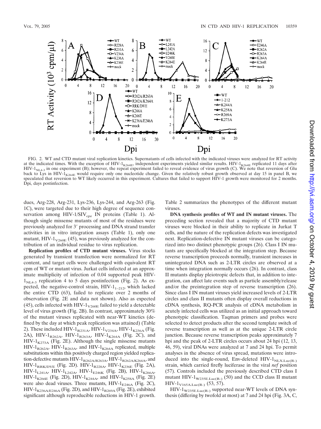

FIG. 2. WT and CTD mutant viral replication kinetics. Supernatants of cells infected with the indicated viruses were analyzed for RT activity at the indicated times. With the exception of  $HIV-1_{K264E}$ , independent experiments yielded similar results.  $HIV-1_{K264E}$  replicated 11 days after HIV-1 $_{\text{NL}}$ <sub>4-3</sub> in one experiment (B); however, the repeat experiment failed to reveal evidence of virus growth (C). We note that reversion of Glu back to Lys in HIV- $1_{K264E}$  would require only one nucleotide change. Given the relatively robust growth observed at day 15 in panel B, we speculated that reversion to WT likely occurred in this experiment. Cultures that failed to support HIV-1 growth were monitored for 2 months. Dpi, days postinfection.

dues, Arg-228, Arg-231, Lys-236, Lys-244, and Arg-263 (Fig. 1C), were targeted due to their high degree of sequence conservation among  $HIV-1/SIV_{cpz}$  IN proteins (Table 1). Although single missense mutants of most of the residues were previously analyzed for 3' processing and DNA strand transfer activities in in vitro integration assays (Table 1), only one mutant, HIV- $1_{\text{V260E}}$  (45), was previously analyzed for the contribution of an individual residue to virus replication.

**Replication profiles of CTD mutant viruses.** Virus stocks generated by transient transfection were normalized for RT content, and target cells were challenged with equivalent RT cpm of WT or mutant virus. Jurkat cells infected at an approximate multiplicity of infection of 0.04 supported peak HIV- $1_{\text{NI }4-3}$  replication 4 to 5 days postinfection (Fig. 2). As expected, the negative-control strain,  $HIV-1_{1-212}$ , which lacked the entire CTD (63), failed to replicate over 2 months of observation (Fig. 2E and data not shown). Also as expected (45), cells infected with HIV- $1_{\text{V260E}}$  failed to yield a detectable level of virus growth (Fig. 2B). In contrast, approximately 30% of the mutant viruses replicated with near-WT kinetics (defined by the day at which peak replication was attained) (Table 2). These included HIV- $1_{R231A}$ , HIV- $1_{V234A}$ , HIV- $1_{K236A}$  (Fig. 2A), HIV- $1_{R262A}$ , HIV- $1_{R263A}$ , HIV- $1_{K264A}$  (Fig. 2C), and  $HIV-1_{K273A}$  (Fig. 2E). Although the single missense mutants  $HIV-1_{R262A}$ ,  $HIV-1_{R263A}$ , and  $HIV-1_{K264A}$  replicated, multiple substitutions within this positively charged region yielded replication-defective mutants  $HIV-1_{R262A/R263A}$ ,  $HIV-1_{R262A/K264A}$ , and HIV- $1_{\text{RRK/DVE}}$  (Fig. 2D). HIV- $1_{\text{R228A}}$ , HIV- $1_{\text{K236E}}$  (Fig. 2A),  $HIV-1_{L241A}$ ,  $HIV-1_{L242A}$ ,  $HIV-1_{E246K}$  (Fig. 2B),  $HIV-1_{K266A}$ HIV-1<sub>K266E</sub> (Fig. 2D), HIV-1<sub>K244A</sub>, and HIV-1<sub>K258A</sub> (Fig. 2E) were also dead viruses. Three mutants,  $HIV-1_{E246A}$  (Fig. 2C),  $HIV-1_{K236A/E246A}$  (Fig. 2D), and  $HIV-1_{R269A}$  (Fig. 2E), exhibited significant although reproducible reductions in HIV-1 growth.

Table 2 summarizes the phenotypes of the different mutant viruses.

**DNA synthesis profiles of WT and IN mutant viruses.** The preceding section revealed that a majority of CTD mutant viruses were blocked in their ability to replicate in Jurkat T cells, and the nature of the replication defects was investigated next. Replication-defective IN mutant viruses can be categorized into two distinct phenotypic groups (26). Class I IN mutants are specifically blocked at the integration step. Because reverse transcription proceeds normally, transient increases in unintegrated DNA such as 2-LTR circles are observed at a time when integration normally occurs (26). In contrast, class II mutants display pleiotropic defects that, in addition to integration, can affect late events such as particle assembly/release and/or the preintegration step of reverse transcription (26). Since class I IN mutant viruses yield increased levels of 2-LTR circles and class II mutants often display overall reductions in cDNA synthesis, RQ-PCR analysis of cDNA metabolism in acutely infected cells was utilized as an initial approach toward phenotypic classification. Taqman primers and probes were selected to detect products after the second template switch of reverse transcription as well as at the unique 2-LTR circle junction. Because reverse transcription peaks approximately 7 hpi and the peak of 2-LTR circles occurs about 24 hpi (12, 13, 46, 59), viral DNAs were analyzed at 7 and 24 hpi. To permit analyses in the absence of virus spread, mutations were introduced into the single-round, Env-deleted  $HIV-1<sub>NLX.Luc(R-)</sub>$ strain, which carried firefly luciferase in the viral *nef* position (57). Controls included the previously described CTD class I mutant  $HIV-1_{W235E.Luc(R-) }$  (50) and the CCD class II mutant  $HIV-1<sub>V165A.Luc(R-)</sub>$ </sub> (53, 57).

 $HIV-1<sub>W235E.Luc(R-)</sub>$  supported near-WT levels of DNA synthesis (differing by twofold at most) at 7 and 24 hpi (Fig. 3A, C,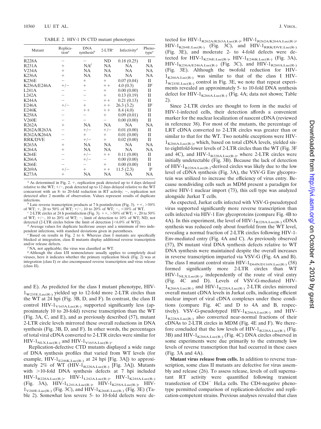TABLE 2. HIV-1 IN CTD mutant phenotypes

| Mutant             | Replica-<br>tion <sup>a</sup> | <b>DNA</b><br>synthesis <sup>b</sup> | $2$ -LTR <sup>c</sup> | Infectivity <sup>d</sup> | Pheno-<br>type <sup>e</sup> |
|--------------------|-------------------------------|--------------------------------------|-----------------------|--------------------------|-----------------------------|
| <b>R228A</b>       |                               |                                      | ND                    | 0.18(0.25)               | H                           |
| R <sub>231</sub> A | $^{+}$                        | NA <sup>f</sup>                      | <b>NA</b>             | <b>NA</b>                | NA                          |
| V234A              | $^{+}$                        | <b>NA</b>                            | <b>NA</b>             | <b>NA</b>                | NA                          |
| K236A              | $^{+}$                        | NA                                   | NA                    | <b>NA</b>                | NA                          |
| <b>K236E</b>       |                               | $^{+}$                               | $^{+}$                | 0.07(0.04)               | П                           |
| K236A/E246A        | $+/-$                         | $^+$                                 | $++$                  | 4.0(0.3)                 | II <sup>g</sup>             |
| L241A              |                               |                                      | $^{+}$                | 0.00(0.00)               | П                           |
| <b>L242A</b>       |                               |                                      | $^{+}$                | 0.13(0.19)               | $_{\rm II}$                 |
| <b>K244A</b>       |                               |                                      | $++$                  | 0.21(0.13)               | П                           |
| E246A              | $+/-$                         | $^{+}$                               | $++$                  | 26.3(3.2)                | II <sup>g</sup>             |
| E246K              |                               | $++$                                 | $++$                  | 8.4(4.0)                 | П                           |
| <b>K258A</b>       |                               |                                      | $^{+}$                | 0.09(0.01)               | $_{\rm II}$                 |
| V260E              |                               |                                      |                       | 0.00(0.00)               | $_{\rm II}$                 |
| <b>R262A</b>       | $^{+}$                        | <b>NA</b>                            | <b>NA</b>             | NA                       | NA                          |
| R262A/R263A        |                               | $+/-$                                | $+/-$                 | 0.01(0.00)               | П                           |
| R262A/K264A        |                               | $^{+}$                               | $^{+}$                | 0.01(0.00)               | $_{\rm II}$                 |
| <b>RRK/DVE</b>     |                               | $+/-$                                | $^{+}$                | 0.02(0.00)               | $_{\rm II}$                 |
| R <sub>26</sub> 3A | $^{+}$                        | <b>NA</b>                            | <b>NA</b>             | <b>NA</b>                | NA                          |
| <b>K264A</b>       | $^{+}$                        | <b>NA</b>                            | <b>NA</b>             | NA                       | NA                          |
| <b>K264E</b>       |                               | $+/-$                                | $++$                  | 0.11(0.00)               | $_{\rm II}$                 |
| K266A              |                               | $+/-$                                |                       | 0.00(0.00)               | $_{\rm II}$                 |
| K266E              |                               |                                      | $^{+}$                | 0.00(0.00)               | $_{\rm II}$                 |
| <b>R269A</b>       | $+/-$                         | $^{+}$                               | $++$                  | 11.5(2.3)                | $\mathbb{I}^g$              |
| K273A              | $^+$                          | NA                                   | NA                    | <b>NA</b>                | NA                          |

 $a$  As determined in Fig. 2.  $+$ , replication peak detected up to 4 days delayed relative to the WT;  $+/-$ , peak detected up to 12 days delayed relative to the WT concurrent with an 8- to 20-fold reduction in RT activity;  $-$ , replication not detected after 2 months of observation. Values represent results of duplicate

<sup>*b*</sup> Late reverse transcription products at 7 h postinfection (Fig. 3).  $++$ ,  $>50\%$ of WT;  $+$ , 20 to 50% of WT;  $+/-$ , 10 to 20% of WT;  $-$ , <10% of WT.<br><sup>*c*</sup> 2-LTR circles at 24 h postinfection (Fig. 3).  $+$ , >50% of WT;  $+$ , 20 to 50%

of WT;  $+/-$ , 10 to 20% of WT; –, limit of detection to 10% of WT; ND, not detected (2-LTR circles below the limit of detection  $\sim 6.0\%$  of WT).

<sup>d</sup> Average values for duplicate luciferase assays and a minimum of two independent infections, with standard deviations given in parentheses.

Based on results in Fig. 2 to 6. Whereas class I mutants are specifically blocked at integration, class II mutants display additional reverse transcription

NA, not applicable; the virus was classified as WT.

<sup>*g*</sup> Although the class I/II nomenclature usually applies to completely dead viruses, here it indicates whether the primary replication block (Fig. 2) was at integration (class I) or also encompassed reverse transcription and virus release (class II).

and E). As predicted for the class I mutant phenotype, HIV- $1_{\text{W235E.Luc(R.)}}$  yielded up to 12-fold more 2-LTR circles than the WT at 24 hpi (Fig. 3B, D, and F). In contrast, the class II control HIV- $1_{VI65A.Luc(R-)}$  supported significantly less (approximately 10 to 20-fold) reverse transcription than the WT (Fig. 3A, C, and E), and as previously described (57), mutant 2-LTR circle levels mirrored these overall reductions in DNA synthesis (Fig. 3B, D, and F). In other words, the percentages of total viral cDNA converted to 2-LTR circles were similar for  $HIV-1_{NIX. Luc(R-)}$  and  $HIV-1_{V165A. Luc(R-)}$ .

Replication-defective CTD mutants displayed a wide range of DNA synthesis profiles that varied from WT levels (for example,  $HIV-1_{E246K.Luc(R-)}$  at 24 hpi [Fig. 3A]) to approximately 2% of WT (HIV- $1_{R228A.Luc(R-)}$  [Fig. 3A]). Mutants with  $>$ 10-fold DNA synthesis defects at 7 hpi included  $HIV-1_{R228A.Luc(R-)}$ ,  $HIV-1_{L242A.Luc(R-)}$ ,  $HIV-1_{K244A.Luc(R-)}$ (Fig. 3A),  $HIV-1_{L241A.Luc(R-)}, HIV-1_{K258A.Luc(R-)}, HIV 1_{\text{V260E.Luc(R.)}}$  (Fig. 3C), and HIV- $1_{\text{K266E.Luc(R.)}}$  (Fig. 3E) (Table 2). Somewhat less severe 5- to 10-fold defects were detected for  $HIV-1_{R262A/R263A.Luc(R-)}$ ,  $HIV-1_{R262A/K264A.Luc(R-)}$  $HIV-1_{K264E.Luc(R-)}$  (Fig. 3C), and  $HIV-1_{RRK/DVE.Luc(R-)}$ (Fig. 3E), and moderate 2- to 4-fold defects were detected for HIV- $1_{K236E, Luc(R-)}$ , HIV- $1_{E246K, Luc(R-)}$  (Fig. 3A),  $HIV-1_{K236A/E246A.Luc(R-)}$  (Fig. 3C), and  $HIV-1_{R269A.Luc(R-)}$ (Fig. 3E). Although the twofold reduction for HIV- $1_{K266A.Luc(R-)}$  was similar to that of the class I HIV- $1_{\text{W235E.Luc(R.)}}$  control in Fig. 3E, we note that repeat experiments revealed an approximately 5- to 10-fold DNA synthesis defect for  $HIV-1_{K266A,Luc(R-)}$  (Fig. 4A; data not shown; Table 2).

Since 2-LTR circles are thought to form in the nuclei of HIV-1-infected cells, their detection affords a convenient marker for the nuclear localization of nascent cDNA (reviewed in reference 38). For most of the mutants, the percentage of LRT cDNA converted to 2-LTR circles was greater than or similar to that for the WT. Two notable exceptions were HIV- $1_{K266A, Luc(R-)}$ , which, based on total cDNA levels, yielded sixto eightfold-lower levels of 2-LTR circles than the WT (Fig. 3F and 4C), and HIV- $1_{R228A.Luc(R-)}$ , where 2-LTR circles were initially undetectable (Fig. 3B). Because the lack of detection of HIV-1<sub>R228A.Luc(R-)</sub>-derived circles was likely due to the low level of cDNA synthesis (Fig. 3A), the VSV-G Env glycoprotein was utilized to increase the efficiency of virus entry. Because nondividing cells such as MDM present a paradigm for active HIV-1 nuclear import (73), this cell type was analyzed alongside Jurkat T cells.

As expected, Jurkat cells infected with VSV-G-pseudotyped virus supported significantly more reverse transcription than cells infected via HIV-1 Env glycoproteins (compare Fig. 4B to 4A). In this experiment, the level of  $HIV-1_{R228A.Luc(R-)}$  cDNA synthesis was reduced only about fourfold from the WT level, revealing a normal fraction of 2-LTR circles following HIV-1- Env-mediated entry (Fig. 4A and C). As previously observed (57), IN mutant viral DNA synthesis defects relative to WT DNA synthesis were maintained despite the overall increases in reverse transcription imparted via VSV-G (Fig. 4A and B). The class I mutant control strain HIV- $1_{D64N/D116N.Luc(R-)}$  (58) formed significantly more 2-LTR circles than WT  $HIV-1<sub>NLX.Luc(R-)</sub>$ , independently of the route of viral entry (Fig. 4C and D). Levels of VSV-G-mediated HIV- $1_{K266A.Luc(R-)}$  and HIV- $1_{R228A.Luc(R-)}$  2-LTR circles mirrored overall mutant cDNA levels in Jurkat cells, indicating efficient nuclear import of viral cDNA complexes under these conditions (compare Fig. 4C and D to 4A and B, respectively). VSV-G-pseudotyped  $HIV-1_{K266A, Luc(R-)}$  and  $HIV 1_{\text{R228A.Luc(R.)}}$  also converted near-normal fractions of their cDNAs to 2-LTR circles in MDM (Fig. 4E and F). We therefore concluded that the low levels of  $HIV-1_{R228A.Luc(R-)}$  (Fig. 3B) and HIV- $1_{K266A.Luc(R-)}$  (Fig. 4C) DNA circles observed in some experiments were due primarily to the extremely low levels of reverse transcription that had occurred in these cases (Fig. 3A and 4A).

**Mutant virus release from cells.** In addition to reverse transcription, some class II mutants are defective for virus assembly and release (26). To assess release, levels of cell supernatant RT activity were quantified following transient transfection of  $CD4^-$  HeLa cells. The CD4-negative phenotype permitted comparison of replication-defective and replication-competent strains. Previous analyses revealed that class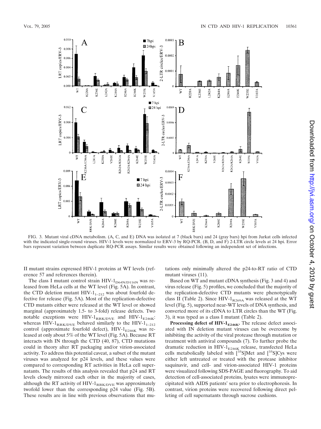

FIG. 3. Mutant viral cDNA metabolism. (A, C, and E) DNA was isolated at 7 (black bars) and 24 (gray bars) hpi from Jurkat cells infected with the indicated single-round viruses. HIV-1 levels were normalized to ERV-3 by RQ-PCR. (B, D, and F) 2-LTR circle levels at 24 hpi. Error bars represent variation between duplicate RQ-PCR assays. Similar results were obtained following an independent set of infections.

II mutant strains expressed HIV-1 proteins at WT levels (reference 57 and references therein).

The class I mutant control strain HIV- $1_{D64N/D116N}$  was released from HeLa cells at the WT level (Fig. 5A). In contrast, the CTD deletion mutant HIV-1<sub>1–212</sub> was about fourfold defective for release (Fig. 5A). Most of the replication-defective CTD mutants either were released at the WT level or showed marginal (approximately 1.5- to 3-fold) release defects. Two notable exceptions were  $HIV-1_{RRK/DVE}$  and  $HIV-1_{E246K}$ : whereas HIV- $1_{RRK/DVE}$  behaved similarly to the HIV- $1_{1-212}$ control (approximate fourfold defect),  $HIV-1_{E246K}$  was released at only about 5% of the WT level (Fig. 5A). Because RT interacts with IN through the CTD (40, 87), CTD mutations could in theory alter RT packaging and/or virion-associated activity. To address this potential caveat, a subset of the mutant viruses was analyzed for p24 levels, and these values were compared to corresponding RT activities in HeLa cell supernatants. The results of this analysis revealed that p24 and RT levels closely mirrored each other in the majority of cases, although the RT activity of HIV- $1_{RRK/DVE}$  was approximately twofold lower than the corresponding p24 value (Fig. 5B). These results are in line with previous observations that mutations only minimally altered the p24-to-RT ratio of CTD mutant viruses (11).

Based on WT and mutant cDNA synthesis (Fig. 3 and 4) and virus release (Fig. 5) profiles, we concluded that the majority of the replication-defective CTD mutants were phenotypically class II (Table 2). Since  $HIV-1_{R269A}$  was released at the WT level (Fig. 5), supported near-WT levels of DNA synthesis, and converted more of its cDNA to LTR circles than the WT (Fig. 3), it was typed as a class I mutant (Table 2).

Processing defect of HIV-1<sub>E246K</sub>. The release defect associated with IN deletion mutant viruses can be overcome by inhibiting the activity of the viral protease through mutation or treatment with antiviral compounds (7). To further probe the dramatic reduction in HIV- $1_{E246K}$  release, transfected HeLa cells metabolically labeled with  $[35S]$ Met and  $[35S]$ Cys were either left untreated or treated with the protease inhibitor saquinavir, and cell- and virion-associated HIV-1 proteins were visualized following SDS-PAGE and fluorography. To aid detection of cell-associated proteins, lysates were immunoprecipitated with AIDS patients' sera prior to electrophoresis. In contrast, virion proteins were recovered following direct pelleting of cell supernatants through sucrose cushions.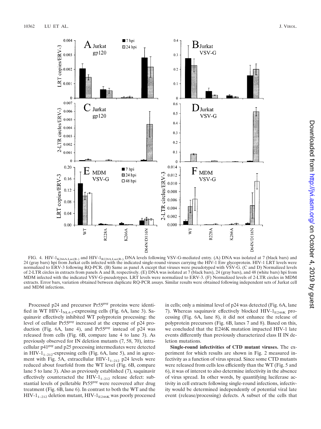

FIG. 4. HIV-1<sub>K266A.Luc(R-)</sub> and HIV-1<sub>R228A.Luc(R-)</sub> DNA levels following VSV-G-mediated entry. (A) DNA was isolated at 7 (black bars) and 24 (gray bars) hpi from Jurkat cells infected with the indicated single-round viruses carrying the HIV-1 Env glycoprotein. HIV-1 LRT levels were normalized to ERV-3 following RQ-PCR. (B) Same as panel A except that viruses were pseudotyped with VSV-G. (C and D) Normalized levels of 2-LTR circles in extracts from panels A and B, respectively. (E) DNA was isolated at 7 (black bars), 24 (gray bars), and 48 (white bars) hpi from MDM infected with the indicated VSV-G-pseudotypes. LRT levels were normalized to ERV-3. (F) Normalized levels of 2-LTR circles in MDM extracts. Error bars, variation obtained between duplicate RQ-PCR assays. Similar results were obtained following independent sets of Jurkat cell and MDM infections.

Processed p24 and precursor Pr55*gag* proteins were identified in WT HIV- $1_{NL,4-3}$ -expressing cells (Fig. 6A, lane 3). Saquinavir effectively inhibited WT polyprotein processing: the level of cellular Pr55*gag* increased at the expense of p24 production (Fig. 6A, lane 4), and Pr55*gag* instead of p24 was released from cells (Fig. 6B, compare lane 4 to lane 3). As previously observed for IN deletion mutants (7, 58, 70), intracellular p41*gag* and p25 processing intermediates were detected in HIV- $1_{1-212}$ -expressing cells (Fig. 6A, lane 5), and in agreement with Fig. 5A, extracellular HIV- $1_{1-212}$  p24 levels were reduced about fourfold from the WT level (Fig. 6B, compare lane 5 to lane 3). Also as previously established (7), saquinavir effectively counteracted the HIV- $1_{1-212}$  release defect: substantial levels of pelletable Pr55*gag* were recovered after drug treatment (Fig. 6B, lane 6). In contrast to both the WT and the  $HIV-1_{1-212}$  deletion mutant,  $HIV-1_{E246K}$  was poorly processed

in cells; only a minimal level of p24 was detected (Fig. 6A, lane 7). Whereas saquinavir effectively blocked  $HIV-1<sub>E246K</sub>$  processing (Fig. 6A, lane 8), it did not enhance the release of polyprotein precursors (Fig. 6B, lanes 7 and 8). Based on this, we concluded that the E246K mutation impacted HIV-1 late events differently than previously characterized class II IN deletion mutations.

**Single-round infectivities of CTD mutant viruses.** The experiment for which results are shown in Fig. 2 measured infectivity as a function of virus spread. Since some CTD mutants were released from cells less efficiently than the WT (Fig. 5 and 6), it was of interest to also determine infectivity in the absence of virus spread. In other words, by quantifying luciferase activity in cell extracts following single-round infections, infectivity would be determined independently of potential viral late event (release/processing) defects. A subset of the cells that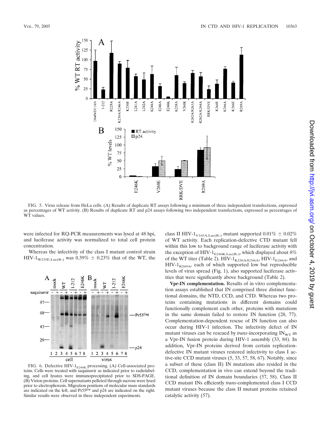

FIG. 5. Virus release from HeLa cells. (A) Results of duplicate RT assays following a minimum of three independent transfections, expressed as percentages of WT activity. (B) Results of duplicate RT and p24 assays following two independent transfections, expressed as percentages of WT values.

were infected for RQ-PCR measurements was lysed at 48 hpi, and luciferase activity was normalized to total cell protein concentration.

Whereas the infectivity of the class I mutant control strain HIV-1<sub>W235E.Luc(R-)</sub> was 0.39%  $\pm$  0.23% that of the WT, the



FIG. 6. Defective HIV- $1_{E246K}$  processing. (A) Cell-associated proteins. Cells were treated with saquinavir as indicated prior to radiolabeling, and cell lysates were immunoprecipitated prior to SDS-PAGE. (B) Virion proteins. Cell supernatants pelleted through sucrose were lysed prior to electrophoresis. Migration positions of molecular mass standards are indicated on the left, and Pr55*gag* and p24 are indicated on the right. Similar results were observed in three independent experiments.

class II HIV-1<sub>V165A.Luc(R-)</sub> mutant supported  $0.01\% \pm 0.02\%$ of WT activity. Each replication-defective CTD mutant fell within this low to background range of luciferase activity with the exception of HIV-1<sub>E246K.Luc(R-)</sub>, which displayed about 8% of the WT titer (Table 2). HIV- $1_{K236A/E246A}$ , HIV- $1_{E246A}$ , and  $HIV-1_{R269A}$ , each of which supported low but reproducible levels of virus spread (Fig. 1), also supported luciferase activities that were significantly above background (Table 2).

**Vpr-IN complementation.** Results of in vitro complementation assays established that IN comprised three distinct functional domains, the NTD, CCD, and CTD. Whereas two proteins containing mutations in different domains could functionally complement each other, proteins with mutations in the same domain failed to restore IN function (28, 77). Complementation-dependent rescue of IN function can also occur during HIV-1 infection. The infectivity defect of IN mutant viruses can be rescued by *trans*-incorporating  $IN_{\text{WT}}$  as a Vpr-IN fusion protein during HIV-1 assembly (33, 84). In addition, Vpr-IN proteins derived from certain replicationdefective IN mutant viruses restored infectivity to class I active-site CCD mutant viruses (5, 33, 57, 58, 67). Notably, since a subset of these (class II) IN mutations also resided in the CCD, complementation in vivo can extend beyond the traditional definition of IN domain boundaries (57, 58). Class II CCD mutant INs efficiently *trans*-complemented class I CCD mutant viruses because the class II mutant proteins retained catalytic activity (57).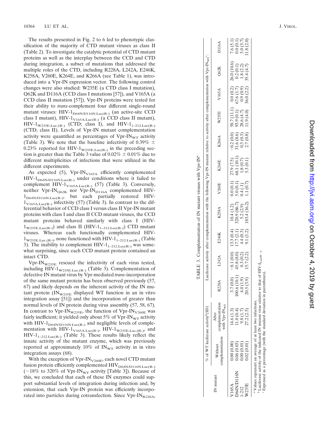The results presented in Fig. 2 to 6 led to phenotypic classification of the majority of CTD mutant viruses as class II (Table 2). To investigate the catalytic potential of CTD mutant proteins as well as the interplay between the CCD and CTD during integration, a subset of mutations that addressed the multiple roles of the CTD, including R228A, L242A, E246K, K258A, V260E, K264E, and K266A (see Table 1), was introduced into a Vpr-IN expression vector. The following control changes were also studied: W235E (a CTD class I mutation), Q62K and D116A (CCD class I mutations [57]), and V165A (a CCD class II mutation [57]). Vpr-IN proteins were tested for their ability to *trans*-complement four different single-round mutant viruses:  $HIV-1<sub>D64N/D116N.Luc(R-)</sub>$  (an active-site CCD class I mutant), HIV-1<sub>V165A.Luc(R-)</sub> (a CCD class II mutant),  $HIV-1_{W235E.Luc.(R-)}$  (CTD; class I), and  $HIV-1_{1-212.Luc(R-)}$ (CTD; class II). Levels of Vpr-IN mutant complementation activity were quantified as percentages of  $Vpr-IN<sub>WT</sub>$  activity (Table 3). We note that the baseline infectivity of 0.39%  $\pm$ 0.23% reported for HIV- $1_{W235E, Luc(R^-)}$  in the preceding section is greater than the Table 3 value of  $0.02\% \pm 0.01\%$  due to different multiplicities of infections that were utilized in the different experiments.

As expected (5),  $Vpr-IN<sub>V165A</sub>$  efficiently complemented  $HIV-1<sub>D64N/D116N.Luc(R-)</sub>$  under conditions where it failed to complement HIV- $1_{\text{V165A.Luc(R-)}}$  (57) (Table 3). Conversely, neither Vpr-IN<sub>Q62K</sub> nor Vpr-IN<sub>D116A</sub> complemented HIV- $1_{D64N/D116N.Luc(R-)}$ , but each partially restored HIV- $1_{\text{V165A.Luc(R.)}}$  infectivity (57) (Table 3). In contrast to the differential behavior of CCD class I versus class II Vpr-IN mutant proteins with class I and class II CCD mutant viruses, the CCD mutant proteins behaved similarly with class I (HIV-  $1_{\text{W235E.Luc(R-)}}$  and class II (HIV- $1_{\text{1-212.Luc(R-)}}$ ) CTD mutant viruses. Whereas each functionally complemented HIV-  $1_{W235E, Luc(R-)}$ , none functioned with HIV- $1_{1-212, Luc(R-)}$  (Table 3). The inability to complement  $HIV-1_{1-212, \text{Luc}(R-) }$  was somewhat surprising, since each CCD mutant protein contained an intact CTD.

 $Vpr-IN_{W235E}$  rescued the infectivity of each virus tested, including HIV-1 $_{\text{W235E.Luc.(R-)}}$  (Table 3). Complementation of defective IN mutant virus by Vpr-mediated *trans*-incorporation of the same mutant protein has been observed previously (57, 67) and likely depends on the inherent activity of the IN mutant protein  $(N_{\text{W235E}})$  displayed WT function in an in vitro integration assay [51]) and the incorporation of greater than normal levels of IN protein during virus assembly (57, 58, 67). In contrast to Vpr-IN<sub>W235E</sub>, the function of Vpr-IN<sub>V260E</sub> was fairly inefficient; it yielded only about 5% of Vpr-IN<sub>WT</sub> activity with HIV-1 $_{\text{D64N/D116N.Luc(R-)}}$  and negligible levels of complementation with  $HIV-1<sub>V165A.Luc(R-)</sub>$ ,  $HIV-1<sub>W235E.Luc(R-)</sub>$ , and HIV-1<sub>1–212.Luc(R-)</sub> (Table 3). These results likely reflect the innate activity of the mutant enzyme, which was previously reported at approximately 10% of  $IN_{WT}$  activity in in vitro integration assays (68).

With the exception of  $Vpr-IN<sub>V260E</sub>$ , each novel CTD mutant fusion protein efficiently complemented  $HIV_{D64N/D116N.Luc(R-)}$ ( $\sim$ 18% to 320% of Vpr-IN<sub>WT</sub> activity [Table 3]). Because of this, we concluded that each of these IN enzymes could support substantial levels of integration during infection and, by extension, that each Vpr-IN protein was efficiently incorporated into particles during cotransfection. Since  $Vpr-IN_{R228A}$ ,

|           |                                                                                                         | $\delta$ of WT luciferase activity <sup>b</sup> (SD) |                                                                                                        |                                                                                        |                                                    | Luciferase activity after complementation with the following Vpr-IN mutant relative to activity after complementation with Vpr-IN <sub>wr</sub> <sup>e</sup> : |                                                                                       |                                                                                            |                                                                                       |                                                       |                                                                |                                                             |                                                     |
|-----------|---------------------------------------------------------------------------------------------------------|------------------------------------------------------|--------------------------------------------------------------------------------------------------------|----------------------------------------------------------------------------------------|----------------------------------------------------|----------------------------------------------------------------------------------------------------------------------------------------------------------------|---------------------------------------------------------------------------------------|--------------------------------------------------------------------------------------------|---------------------------------------------------------------------------------------|-------------------------------------------------------|----------------------------------------------------------------|-------------------------------------------------------------|-----------------------------------------------------|
| N mutan   | complementation<br>Without                                                                              | omplementation<br>with Vpr-IN <sub>wT</sub><br>After | 228A                                                                                                   | L242A                                                                                  | E246K                                              | <b>K258A</b>                                                                                                                                                   | V260E                                                                                 | K264E                                                                                      | K266A                                                                                 | <b>W235E</b>                                          | V165A                                                          | Q62K                                                        | <b>2116A</b>                                        |
| '165A     | $\begin{array}{c} 0.00\ (0.00) \ 0.06\ (0.03) \ 0.00\ (0.01) \ 0.02\ (0.01) \ 0.02\ (0.01) \end{array}$ | 14.6 (1.3)<br>11.0 (0.4)<br>9.8 (1.7)<br>27.2 (2.5)  | $\begin{array}{c} 3.7 \, (0.0) \\ 00.6 \, (10.1) \\ 4.0 \, (1.9) \\ 20.5 \, (3.9) \end{array}$<br>3.7( | $\begin{array}{c} -0.1\ (0.0) \\ 45.8\ (0.2) \\ 0.3\ (0.2) \\ 15.7\ (2.2) \end{array}$ |                                                    | $\begin{array}{c} 10.4\ (1.2)\\ 320.9\ (86.7)\\ 5.2\ (2.9)\\ 183.4\ (16.2) \end{array}$                                                                        | $\begin{array}{c} 0.0 \ (0.1) \\ 5.0 \ (0.1) \\ 0.4 \ (1) \\ 1.1 \ (0.7) \end{array}$ | $\begin{array}{c} 27.9 \ (7.5) \\ 68.1 \ (10.1) \\ 1.8 \ (0.7) \\ 5.3 \ (0.1) \end{array}$ | $\begin{array}{c} -0.2\ (0.0) \\ 31.6\ (8.6) \\ 0.3\ (0.3) \\ 2.7\ (0.8) \end{array}$ | 58.7 (11.1)<br>93.9 (0.1)<br>28.6 (4.7)<br>11.9 (4.0) |                                                                | $26.0 (10.6)$<br>$0.2 (0.1)$<br>$1.8 (2.2)$<br>$35.4 (4.7)$ | $7.6 (5.1)$<br>0.0 (0.1)<br>3.0 (3.7)<br>11.8 (2.0) |
| 064N/D116 |                                                                                                         |                                                      |                                                                                                        |                                                                                        |                                                    |                                                                                                                                                                |                                                                                       |                                                                                            |                                                                                       |                                                       |                                                                |                                                             |                                                     |
| $-212$    |                                                                                                         |                                                      |                                                                                                        |                                                                                        |                                                    |                                                                                                                                                                |                                                                                       |                                                                                            |                                                                                       |                                                       |                                                                |                                                             |                                                     |
| V235E     |                                                                                                         |                                                      |                                                                                                        |                                                                                        | 13.3 (0.4)<br>17.7 (2.1)<br>4.4 (0.3)<br>9.1 (1.2) |                                                                                                                                                                |                                                                                       |                                                                                            |                                                                                       |                                                       | $0.0\ (0.2)$<br>$67.6\ (1.7)$<br>$0.9\ (0.9)$<br>$36.0\ (2.2)$ |                                                             |                                                     |

TABLE 3. Complementation of IN mutant viruses with Vpr-IN*a*

TABLE 3. Complementation of IN mutant viruses with Vpr-IN<sup>®</sup>

" Values represent an average of at least two infections.<br>  $\int_{0}^{b}$  Luciferase activity of the indicated IN mutant virus relative to that of HIV-I<sub>Luc(R-)</sub>. *b* Luciferase activity of the indicated IN mutant virus relative to that of  $HIV-I_{Luc(R-)}$ . *a* Values represent an average of at least two infections.

*c* Expressed as a percentage (with the standard deviation in parentheses). Expressed as a percentage (with the standard deviation in parentheses).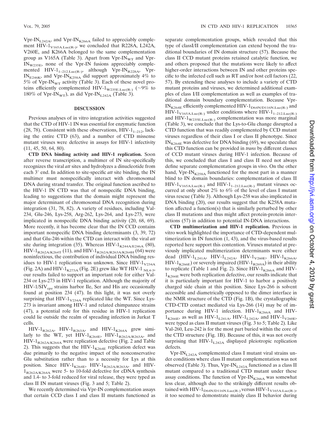Vpr-IN<sub>L242A</sub>, and Vpr-IN<sub>K266A</sub> failed to appreciably complement HIV- $1_{\text{V165A.Luc(R-)}}$ , we concluded that R228A, L242A, V260E, and K266A belonged to the same complementation group as V165A (Table 3). Apart from  $Vpr-IN_{WT}$  and  $Vpr-IN_{WT}$  $IN_{W235E}$ , none of the Vpr-IN fusions appreciably complemented  $HIV-1_{1-212,Luc(R-)}$ , although Vpr-IN<sub>R228A</sub>, Vpr-IN<sub>E246K</sub>, and Vpr-IN<sub>K258A</sub> did support approximately  $4\%$  to 5% of Vpr-IN<sub>WT</sub> activity (Table 3). Each of these novel proteins efficiently complemented HIV-1<sub>W235E.Luc(R-)</sub> ( $\sim$ 9% to 180% of Vpr-IN<sub>WT</sub>), as did Vpr-IN<sub>L242A</sub> (Table 3).

### **DISCUSSION**

Previous analyses of in vitro integration activities suggested that the CTD of HIV-1 IN was essential for enzymatic function (28, 78). Consistent with these observations,  $HIV-1<sub>1–212</sub>$ , lacking the entire CTD (63), and a number of CTD missense mutant viruses were defective in assays for HIV-1 infectivity (11, 45, 50, 64, 80).

**CTD DNA binding activity and HIV-1 replication.** Soon after reverse transcription, a multimer of IN site-specifically recognizes the viral *att* sites and hydrolyzes a dinucleotide from each 3' end. In addition to site-specific *att* site binding, the IN multimer must nonspecifically interact with chromosomal DNA during strand transfer. The original function ascribed to the HIV-1 IN CTD was that of nonspecific DNA binding, leading to suggestions that the domain might represent the major determinant of chromosomal DNA recognition during integration (31, 78, 82). A variety of residues, including Val-234, Glu-246, Lys-258, Arg-262, Lys-264, and Lys-273, were implicated in nonspecific DNA binding activity (20, 68, 69). More recently, it has become clear that the IN CCD contains important nonspecific DNA binding determinants (3, 39, 72) and that Glu-246 within the CTD can interact with the viral *att* site during integration (35). Whereas  $HIV-1_{K244A/E246A}$  (80),  $HIV-1_{R262A/K264T}$  (11), and  $HIV-1_{R262A/R263A/K264H}$  (64) were noninfectious, the contribution of individual DNA binding residues to HIV-1 replication was unknown. Since  $HIV-1<sub>V234A</sub>$ (Fig. 2A) and HIV-1 $_{K273A}$  (Fig. 2E) grew like WT HIV-1  $_{NL4-3}$ , our results failed to support an important role for either Val-234 or Lys-273 in HIV-1 replication. Although the majority of  $HIV-1/SIV<sub>c</sub><sub>c</sub>$  strains harbor Ile, Ser and His are occasionally found at position 234 (47). In this light, it was not overly surprising that HIV- $1_{V234A}$  replicated like the WT. Since Lys-273 is invariant among HIV-1 and related chimpanzee strains (47), a potential role for this residue in HIV-1 replication could lie outside the realm of spreading infection in Jurkat T cells.

 $HIV-1_{R262A}$ ,  $HIV-1_{R263A}$ , and  $HIV-1_{K264A}$  grew similarly to the WT, yet HIV-1 $_{K264E}$ , HIV-1 $_{R262A/R263A}$ , and HIV-1<sub>R262A/K264A</sub> were replication defective (Fig. 2 and Table 2). This suggests that the HIV- $1_{K264E}$  replication defect was due primarily to the negative impact of the nonconservative Glu substitution rather than to a necessity for Lys at this position. Since  $HIV-1_{K264E}$ ,  $HIV-1_{R262A/R263A}$ , and  $HIV 1_{R262A/K264A}$  were 5- to 10-fold defective for cDNA synthesis and 1.4- to 3-fold reduced for viral release, they were typed as class II IN mutant viruses (Fig. 3 and 5; Table 2).

We recently determined via Vpr-IN complementation assays that certain CCD class I and class II mutants functioned as separate complementation groups, which revealed that this type of classI/II complementation can extend beyond the traditional boundaries of IN domain structure (57). Because the class II CCD mutant proteins retained catalytic function, we and others proposed that the mutations were likely to affect higher-order interactions between IN and other proteins specific to the infected cell such as RT and/or host cell factors (22, 57). By extending these analyses to include a variety of CTD mutant proteins and viruses, we determined additional examples of class I/II complementation as well as examples of traditional domain boundary complementation. Because Vpr- $IN_{K264E}$  efficiently complemented  $HIV-1_{D64N/D116N.Luc(R-)}$  and  $HIV-1<sub>V165A.Luc(R-)</sub>$  under conditions where  $HIV-1<sub>1–212.Luc(R-)</sub>$ and  $HIV-1_{W235E.Luc(R-)}$  complementation was more marginal (Table 3), we conclude that the Lys-to-Glu change disrupted a CTD function that was readily complemented by CCD mutant viruses regardless of their class I or class II phenotype. Since  $IN_{K264E}$  was defective for DNA binding (69), we speculate that this CTD function can be provided in *trans* by different classes of CCD mutant viruses during HIV-1 infection. Because of this, we concluded that class I and class II need not always define separate complementation groups in vivo. On the other hand,  $Vpr-IN<sub>K258A</sub>$  functioned for the most part in a manner blind to IN domain boundaries: complementation of class II  $HIV-1<sub>V165</sub>A.Luc(R-)$  and  $HIV-1<sub>1–212.Luc(R-)</sub>$  mutant viruses occurred at only about 2% to 6% of the level of class I mutant virus rescue (Table 3). Although Lys-258 was also implicated in DNA binding (20), our results suggest that the K258A mutation affected a function(s) that is similarly perturbed by other class II mutations and thus might affect protein-protein interactions (57) in addition to potential IN-DNA interactions.

**CTD multimerization and HIV-1 replication.** Previous in vitro work highlighted the importance of CTD-dependent multimerization in IN function (1, 43), and the virus-based results reported here support this contention. Viruses mutated at previously implicated multimerization determinants were either dead (HIV- $1_{L241A}$ , HIV- $1_{L242A}$ , HIV- $1_{V260E}$ , HIV- $1_{K266A}$ ,  $HIV-1_{K266E}$ ) or severely impaired (HIV-1<sub>R269A</sub>) in their ability to replicate (Table 1 and Fig. 2). Since  $HIV-1_{K266A}$  and  $HIV 1_{K266E}$  were both replication defective, our results indicate that it is particularly important for HIV-1 to harbor a positively charged side chain at this position. Since Lys-266 is solvent accessible and diametrically opposed to the dimer interface in the NMR structure of the CTD (Fig. 1B), the crystallographic CTD-CTD contact mediated via Lys-266 (14) may be of importance during HIV-1 infection.  $HIV-1_{K266A}$  and HIV- $1_{K266E}$ , as well as HIV- $1_{L241A}$ , HIV- $1_{L242A}$ , and HIV- $1_{V260E}$ , were typed as class II mutant viruses (Fig. 3 to 5; Table 2). Like Val-260, Leu-242 is for the most part buried within the core of the CTD structure (Fig. 1B). Because of this, it was not overly surprising that  $HIV-1_{1,242A}$  displayed pleiotropic replication defects.

Vpr-IN<sub>L242A</sub> complemented class I mutant viral strains under conditions where class II mutant complementation was not observed (Table 3). Thus,  $Vpr-IN_{L242A}$  functioned as a class II mutant compared to a traditional CTD mutant under these assay conditions. The function of  $Vpr-IN_{K266A}$  was somewhat less clear, although due to the strikingly different results obtained with HIV- $1_{D64N/D116N.Luc(R)}$  versus HIV- $1_{V165A.Luc(R)}$ , it too seemed to demonstrate mainly class II behavior during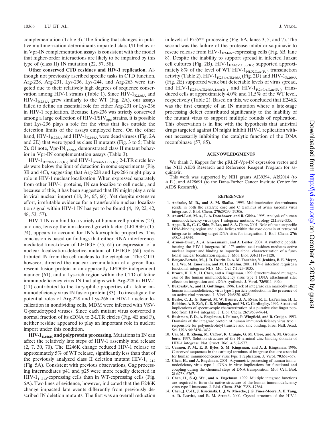complementation (Table 3). The finding that changes in putative multimerization determinants imparted class I/II behavior in Vpr-IN complementation assays is consistent with the model that higher-order interactions are likely to be impaired by this type of (class II) IN mutation (22, 57, 58).

**Other conserved CTD residues and HIV-1 replication.** Although not previously ascribed specific tasks in CTD function, Arg-228, Arg-231, Lys-236, Lys-244, and Arg-263 were targeted due to their relatively high degrees of sequence conservation among HIV-1 strains (Table 1). Since HIV- $1_{K236A}$  and  $HIV-1_{R231A}$  grew similarly to the WT (Fig. 2A), our assays failed to define an essential role for either Arg-231 or Lys-236 in HIV-1 replication. Because Lys-236 was strictly conserved among a large collection of  $HIV-1/SIV_{cpz}$  strains, it is possible that Lys-236 plays a role for the virus that lies outside the detection limits of the assays employed here. On the other hand, HIV- $1_{R228A}$  and HIV- $1_{K244A}$  were dead viruses (Fig. 2A and 2E) that were typed as class II mutants (Fig. 3 to 5; Table 2). Of note,  $Vpr-IN_{R228A}$  demonstrated class II mutant behavior in Vpr-IN complementation assays (Table 3).

 $HIV-1_{R228A.Luc(R-)}$  and  $HIV-1_{K266A.Luc(R-)}$  2-LTR circle levels were below the limit of detection in some experiments (Fig. 3B and 4C), suggesting that Arg-228 and Lys-266 might play a role in HIV-1 nuclear localization. When expressed separately from other HIV-1 proteins, IN can localize to cell nuclei, and because of this, it has been suggested that IN might play a role in viral nuclear import (18, 34, 65, 66). Yet despite extensive effort, irrefutable evidence for a transferable nuclear localization signal within HIV-1 IN has yet to be found (4, 19, 22, 42, 48, 53, 57).

HIV-1 IN can bind to a variety of human cell proteins (27), and one, lens epithelium-derived growth factor (LEDGF) (15, 74), appears to account for IN's karyophilic properties. This conclusion is based on findings that either RNA interferencemediated knockdown of LEDGF (55, 61) or expression of a nuclear localization-defective mutant of LEDGF (60) redistributed IN from the cell nucleus to the cytoplasm. The CTD, however, directed the nuclear accumulation of a green fluorescent fusion protein in an apparently LEDGF independent manner (61), and a Lys-rich region within the CTD of feline immunodeficiency virus IN that aligns with Arg-228 in HIV-1 (11) contributed to the karyophilic properties of a feline immunodeficiency virus IN fusion protein (83). To investigate the potential roles of Arg-228 and Lys-266 in HIV-1 nuclear localization in nondividing cells, MDM were infected with VSV-G-pseudotyped viruses. Since each mutant virus converted a normal fraction of its cDNA to 2-LTR circles (Fig. 4E and F), neither residue appeared to play an important role in nuclear import under this condition.

**HIV-1<sub>E246K</sub>** and polyprotein processing. Mutations in IN can affect the relatively late steps of HIV-1 assembly and release (2, 7, 30, 70). The E246K change reduced HIV-1 release to approximately 5% of WT release, significantly less than that of the previously analyzed class II deletion mutant  $HIV-1_{1-212}$ (Fig. 5A). Consistent with previous observations, Gag processing intermediates p41 and p25 were more readily detected in  $HIV-1_{1-212}$ -expressing cells than in WT-expressing cells (Fig. 6A). Two lines of evidence, however, indicated that the E246K change impacted late events differently from previously described IN deletion mutants. The first was an overall reduction

in levels of Pr55*gag* processing (Fig. 6A, lanes 3, 5, and 7). The second was the failure of the protease inhibitor saquinavir to rescue release from HIV- $1_{E246K}$ -expressing cells (Fig. 6B, lane 8). Despite the inability to support spread in infected Jurkat cell cultures (Fig. 2B), HIV- $1_{E246K,Luc(R)}$  supported approximately 8% of the level of WT HIV- $1_{N\text{LX.Luc(R-)}}$  transduction activity (Table 2). HIV- $1_{K236A/E246A}$  (Fig. 2D) and HIV- $1_{R269A}$ (Fig. 2E) supported weak but detectable levels of virus spread, and  $HIV-1_{K236A/E246A.Luc(R-)}$  and  $HIV-1_{R269A.Luc(R-)}$  transduced cells at approximately 4.0% and 11.5% of the WT level, respectively (Table 2). Based on this, we concluded that E246K was the first example of an IN mutation where a late-stage processing defect contributed significantly to the inability of the mutant virus to support multiple rounds of replication. This observation is in line with the hypothesis that antiviral drugs targeted against IN might inhibit HIV-1 replication without necessarily inhibiting the catalytic function of the DNA recombinase (57, 85).

### **ACKNOWLEDGMENTS**

We thank J. Kappes for the pRL2P-Vpr-IN expression vector and the NIH AIDS Research and Reference Reagent Program for saquinavir.

This work was supported by NIH grants AI39394, AI52014 (to A.E.), and AI28691 (to the Dana-Farber Cancer Institute Center for AIDS Research).

#### **REFERENCES**

- 1. **Andrake, M. D., and A. M. Skalka.** 1995. Multimerization determinants reside in both the catalytic core and C terminus of avian sarcoma virus integrase. J. Biol. Chem. **270:**29299–29306.
- 2. **Ansari-Lari, M. A., L. A. Donehower, and R. Gibbs.** 1995. Analysis of human immunodeficiency virus type 1 integrase mutants. Virology **211:**332–335.
- 3. **Appa, R. S., C.-G. Shin, P. Lee, and S. A. Chow.** 2001. Role of the nonspecific DNA-binding region and alpha helices within the core domain of retroviral integrase in selecting target DNA sites for integration. J. Biol. Chem. **276:** 45848–45855.
- 4. **Armon-Omer, A., A. Graessmann, and A. Loyter.** 2004. A synthetic peptide bearing the HIV-1 integrase 161–173 amino acid residues mediates active nuclear import and binding to importin alpha: characterization of a functional nuclear localization signal. J. Mol. Biol. **336:**1117–1128.
- 5. **Bouyac-Bertoia, M., J. D. Dvorin, R. A. M. Fouchier, Y. Jenkins, B. E. Meyer, L. I. Wu, M. Emerman, and M. H. Malim.** 2001. HIV-1 infection requires a functional integrase NLS. Mol. Cell **7:**1025–1035.
- 6. **Brown, H. E. V., H. Chen, and A. Engelman.** 1999. Structure-based mutagenesis of the human immunodeficiency virus type 1 DNA attachment site: effects on integration and cDNA synthesis. J. Virol. **73:**9011–9020.
- 7. Bukovsky, A., and H. Göttlinger. 1996. Lack of integrase can markedly affect human immunodeficiency virus type 1 particle production in the presence of an active viral protease. J. Virol. **70:**6820–6825.
- 8. **Burke, C. J., G. Sanyal, M. W. Bruner, J. A. Ryan, R. L. LaFemina, H. L. Robbins, A. S. Zeft, C. R. Middaugh, and M. G. Cordingley.** 1992. Structural implications of spectroscopic characterization of a putative zinc finger peptide from HIV-1 integrase. J. Biol. Chem. **267:**9639–9644.
- 9. **Bushman, F. D., A. Engelman, I. Palmer, P. Wingfield, and R. Craigie.** 1993. Domains of the integrase protein of human immunodeficiency virus type 1 responsible for polynucleotidyl transfer and zinc binding. Proc. Natl. Acad. Sci. USA **90:**3428–3432.
- 10. **Cai, M., R. Zheng, M. Caffrey, R. Craigie, G. M. Clore, and A. M. Gronenborn.** 1997. Solution structure of the N-terminal zinc binding domain of HIV-1 integrase. Nat. Struct. Biol. **4:**567–577.
- 11. **Cannon, P. M., E. D. Byles, S. M. Kingsman, and A. J. Kingsman.** 1996. Conserved sequences in the carboxyl terminus of integrase that are essential for human immunodeficiency virus type 1 replication. J. Virol. **70:**651–657.
- 12. **Chen, H., and A. Engelman.** 2001. Asymmetric processing of human immunodeficiency virus type 1 cDNA in vivo: implications for functional end coupling during the chemical steps of DNA transposition. Mol. Cell. Biol. **21:**6758–6767.
- 13. **Chen, H., S.-Q. Wei, and A. Engelman.** 1999. Multiple integrase functions are required to form the native structure of the human immunodeficiency virus type I intasome. J. Biol. Chem. **274:**17358–17364.
- 14. **Chen, J. C.-H., J. Krucinski, L. J. W. Miercke, J. S. Finer-Moore, A. H. Tang, A. D. Leavitt, and R. M. Stroud.** 2000. Crystal structure of the HIV-1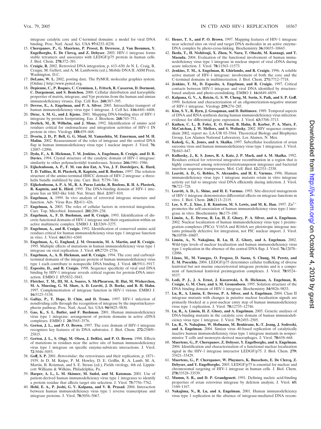integrase catalytic core and C-terminal domains: a model for viral DNA binding. Proc. Natl. Acad. Sci. USA **97:**8233–8238.

- 15. **Cherepanov, P., G. Maertens, P. Proost, B. Devreese, J. Van Beeumen, Y. Engelborghs, E. De Clercq, and Z. Debyser.** 2003. HIV-1 integrase forms stable tetramers and associates with LEDGF/p75 protein in human cells. J. Biol. Chem. **278:**372–381.
- 16. **Craigie, R.** 2002. Retroviral DNA integration, p. 613–630. *In* N. L. Craig, R. Craigie, M. Gellert, and A. M. Lambowitz (ed.), Mobile DNA II. ASM Press, Washington, D.C.
- 17. **DeLano, W. L.** 2002, posting date. The PyMOL molecular graphics system. [Online.] http://www.pymol.org.
- 18. **Depienne, C., P. Roques, C. Creminon, L. Fritsch, R. Casseron, D. Dormont, C. Dargemont, and S. Benichou.** 2000. Cellular distribution and karyophilic properties of matrix, integrase, and Vpr proteins from the human and simian immunodeficiency viruses. Exp. Cell Res. **260:**387–395.
- 19. **Devroe, E., A. Engelman, and P. A. Silver.** 2003. Intracellular transport of human immunodeficiency virus type 1 integrase. J. Cell Sci. **116:**4401–4408.
- 20. **Dirac, A. M. G., and J. Kjems.** 2001. Mapping DNA-binding sites of HIV-1 integrase by protein footprinting. Eur. J. Biochem. **268:**743–751.
- 21. **Drelich, M., R. Wilhelm, and J. Mous.** 1992. Identification of amino acid residues critical for endonuclease and integration activities of HIV-1 IN protein in vitro. Virology **188:**459–468.
- 22. **Dvorin, J. D., P. Bell, G. G. Maul, M. Yamashita, M. Emerman, and M. H. Malim.** 2002. Reassessment of the roles of integrase and the central DNA flap in human immunodeficiency virus type 1 nuclear import. J. Virol. **76:** 12087–12096.
- 23. **Dyda, F., A. B. Hickman, T. M. Jenkins, A. Engelman, R. Craigie, and D. R. Davies.** 1994. Crystal structure of the catalytic domain of HIV-1 integrase: similarity to other polynucleotidyl transferases. Science **266:**1981–1986.
- 24. **Eijkelenboom, A. P., F. M. van den Ent, A. Vos, J. F. Doreleijers, K. Hard, T. D. Tullius, R. H. Plasterk, R. Kaptein, and R. Boelens.** 1997. The solution structure of the amino-terminal HHCC domain of HIV-2 integrase: a threehelix bundle stabilized by zinc. Curr. Biol. **7:**739–746.
- 25. **Eijkelenboom, A. P. A. M., R. A. Puras Lutzke, R. Boelens, R. H. A. Plasterk, R. Kaptein, and K. Hård.** 1995. The DNA-binding domain of HIV-1 integrase has an SH3-like fold. Nat. Struct. Biol. **2:**807–810.
- 26. **Engelman, A.** 1999. In vivo analysis of retroviral integrase structure and function. Adv. Virus Res. **52:**411–426.
- 27. **Engelman, A.** 2003. The roles of cellular factors in retroviral integration. Curr. Top. Microbiol. Immunol. **281:**209–238.
- 28. **Engelman, A., F. D. Bushman, and R. Craigie.** 1993. Identification of discrete functional domains of HIV-1 integrase and their organization within an active multimeric complex. EMBO J. **12:**3269–3275.
- 29. **Engelman, A., and R. Craigie.** 1992. Identification of conserved amino acid residues critical for human immunodeficiency virus type 1 integrase function in vitro. J. Virol. **66:**6361–6369.
- 30. **Engelman, A., G. Englund, J. M. Orenstein, M. A. Martin, and R. Craigie.** 1995. Multiple effects of mutations in human immunodeficiency virus type 1 integrase on viral replication. J. Virol. **69:**2729–2736.
- 31. **Engelman, A., A. B. Hickman, and R. Craigie.** 1994. The core and carboxylterminal domains of the integrase protein of human immunodeficiency virus type 1 each contribute to nonspecific DNA binding. J. Virol. **68:**5911–5917.
- 32. **Esposito, D., and R. Craigie.** 1998. Sequence specificity of viral end DNA binding by HIV-1 integrase reveals critical regions for protein-DNA interaction. EMBO J. **17:**5832–5843.
- 33. **Fletcher, T. M., III, M. A. Soares, S. McPhearson, H. Hui, M. Wiskerchen, M. A. Muesing, G. M. Shaw, A. D. Leavitt, J. D. Boeke, and B. H. Hahn.** 1997. Complementation of integrase function in HIV-1 virions. EMBO J. **16:**5123–5138.
- 34. **Gallay, P., T. Hope, D. Chin, and D. Trono.** 1997. HIV-1 infection of nondividing cells through the recognition of integrase by the importin/karyopherin pathway. Proc. Natl. Acad. Sci. USA **94:**9825–9830.
- 35. **Gao, K., S. L. Butler, and F. Bushman.** 2001. Human immunodeficiency virus type 1 integrase: arrangement of protein domains in active cDNA complexes. EMBO J. **20:**3565–3576.
- 36. **Gerton, J. L., and P. O. Brown.** 1997. The core domain of HIV-1 integrase recognizes key features of its DNA substrates. J. Biol. Chem. **272:**25809– 25815.
- 37. **Gerton, J. L., S. Ohgi, M. Olsen, J. DeRisi, and P. O. Brown.** 1998. Effects of mutations in residues near the active site of human immunodeficiency virus type 1 integrase on specific enzyme-substrate interactions. J. Virol. **72**:5046–5055.
- 38. **Goff, S. P.** 2001. *Retroviridae*: the retroviruses and their replication, p. 1871– 1939. *In* D. M. Knipe, P. M. Howley, D. E. Griffin, R. A. Lamb, M. A. Martin, B. Roizman, and S. E. Straus (ed.), Fields virology, 4th ed. Lippincott Williams & Wilkins, Philadelphia, Pa.
- 39. **Harper, A. L., L. M. Skinner, M. Sudol, and M. Katzman.** 2001. Use of patient-derived human immunodeficiency virus type 1 integrases to identify a protein residue that affects target site selection. J. Virol. **75:**7756–7762.
- 40. **Hehl, E. A., P. Joshi, G. V. Kalpana, and V. R. Prasad.** 2004. Interaction between human immunodeficiency virus type 1 reverse transcriptase and integrase proteins. J. Virol. **78:**5056–5067.
- 41. **Heuer, T. S., and P. O. Brown.** 1997. Mapping features of HIV-1 integrase near selected sites on viral and target DNA molecules in an active enzyme-DNA complex by photo-cross-linking. Biochemistry **36:**10655–10665.
- 42. **Ikeda, T., H. Nishitsuji, X. Zhou, N. Nara, T. Ohashi, M. Kannagi, and T. Masuda.** 2004. Evaluation of the functional involvement of human immunodeficiency virus type 1 integrase in nuclear import of viral cDNA during acute infection. J. Virol. **78:**11563–11573.
- 43. **Jenkins, T. M., A. Engelman, R. Ghirlando, and R. Craigie.** 1996. A soluble active mutant of HIV-1 integrase: involvement of both the core and the C-terminal domains in multimerization. J. Biol. Chem. **271:**7712–7718.
- 44. **Jenkins, T. M., D. Esposito, A. Engelman, and R. Craigie.** 1997. Critical contacts between HIV-1 integrase and viral DNA identified by structurebased analysis and photo-crosslinking. EMBO J. **16:**6849–6859.
- 45. **Kalpana, G. V., A. Reicin, G. S. W. Cheng, M. Sorin, S. Paik, and S. P. Goff.** 1999. Isolation and characterization of an oligomerization-negative mutant of HIV-1 integrase. Virology **259:**274–285.
- 46. **Kim, S. Y., R. Byrn, J. Groopman, and D. Baltimore.** 1989. Temporal aspects of DNA and RNA synthesis during human immunodeficiency virus infection: evidence for differential gene expression. J. Virol. **63:**3708–3713.
- 47. **Kuiken, C. L., B. Foley, E. O. Freed, B. Hahn, B. Korber, P. A. Marx, F. McCutchan, J. W. Mellors, and S. Wolinsky.** 2002. HIV sequence compendium 2002, report no. LA-UR 03-3564. Theoretical Biology and Biophysics Group, Los Alamos National Laboratory, Los Alamos, N. Mex.
- 48. **Kukolj, G., K. Jones, and A. Skalka.** 1997. Subcellular localization of avian sarcoma virus and human immunodeficiency virus type 1 integrases. J. Virol. **71:**843–847.
- 49. **Kulkosky, J., K. S. Jones, R. A. Katz, J. P. Mack, and A. M. Skalka.** 1992. Residues critical for retroviral integrative recombination in a region that is highly conserved among retroviral/retrotransposon integrases and bacterial insertion sequence transposases. Mol. Cell. Biol. **12:**2331–2338.
- 50. **Leavitt, A. D., G. Robles, N. Alesandro, and H. E. Varmus.** 1996. Human immunodeficiency virus type 1 integrase mutants retain in vitro integrase activity yet fail to integrate viral DNA efficiently during infection. J. Virol. **70:**721–728.
- 51. **Leavitt, A. D., L. Shiue, and H. E. Varmus.** 1993. Site-directed mutagenesis of HIV-1 integrase demonstrates differential effects on integrase functions in vitro. J. Biol. Chem. **268:**2113–2119.
- 52. Lee, S. P., J. Xiao, J. R. Knutson, M. S. Lewis, and M. K. Han. 1997. Zn<sup>2+</sup> promotes the self-association of human immunodeficiency virus type-1 integrase in vitro. Biochemistry **36:**173–180.
- 53. **Limo´n, A., E. Devroe, R. Lu, H. Z. Ghory, P. A. Silver, and A. Engelman.** 2002. Nuclear localization of human immunodeficiency virus type 1 preintegration complexes (PICs): V165A and R166A are pleiotropic integrase mutants primarily defective for integration, not PIC nuclear import. J. Virol. **76:**10598–10607.
- 54. **Limo´n, A., N. Nakajima, R. Lu, H. Z. Ghory, and A. Engelman.** 2002. Wild-type levels of nuclear localization and human immunodeficiency virus type 1 replication in the absence of the central DNA flap. J. Virol. **76:**12078– 12086.
- 55. **Llano, M., M. Vanegas, O. Fregoso, D. Saenz, S. Chung, M. Peretz, and E. M. Poeschla.** 2004. LEDGF/p75 determines cellular trafficking of diverse lentiviral but not murine oncoretroviral integrase proteins and is a component of functional lentiviral preintegration complexes. J. Virol. **78:**9524– 9537.
- 56. **Lodi, P. J., J. A. Ernst, J. Kuszewski, A. B. Hickman, A. Engelman, R. Craigie, G. M. Clore, and A. M. Gronenborn.** 1995. Solution structure of the DNA binding domain of HIV-1 integrase. Biochemistry **34:**9826–9833.
- 57. **Lu, R., A. Limo´n, E. Devroe, P. A. Silver, and A. Engelman.** 2004. Class II integrase mutants with changes in putative nuclear localization signals are primarily blocked at a post-nuclear entry step of human immunodeficiency virus type 1 replication. J. Virol. **78:**12735–12746.
- 58. **Lu, R., A. Limo´n, H. Z. Ghory, and A. Engelman.** 2005. Genetic analyses of DNA-binding mutants in the catalytic core domain of human immunodeficiency virus type 1 integrase. J. Virol. **79:**2493–2505.
- 59. **Lu, R., N. Nakajima, W. Hofmann, M. Benkirane, K.-T. Jeang, J. Sodroski, and A. Engelman.** 2004. Simian virus 40-based replication of catalytically inactive human immunodeficiency virus type 1 integrase mutants in nonpermissive T cells and monocyte-derived macrophages. J. Virol. **78:**658–668.
- 60. **Maertens, G., P. Cherepanov, Z. Debyser, Y. Engelborghs, and A. Engelman.** 2004. Identification and characterization of a functional nuclear localization signal in the HIV-1 integrase interactor LEDGF/p75. J. Biol. Chem. **279:** 33421–33429.
- 61. **Maertens, G., P. Cherepanov, W. Pluymers, K. Busschots, E. De Clercq, Z. Debyser, and Y. Engelborghs.** 2003. LEDGF/p75 is essential for nuclear and chromosomal targeting of HIV-1 integrase in human cells. J. Biol. Chem. **278:**33528–33539.
- 62. **Mumm, S. R., and D. P. Grandgenett.** 1991. Defining nucleic acid-binding properties of avian retrovirus integrase by deletion analysis. J. Virol. **65:** 1160–1167.
- 63. **Nakajima, N., R. Lu, and A. Engelman.** 2001. Human immunodeficiency virus type 1 replication in the absence of integrase-mediated DNA recom-